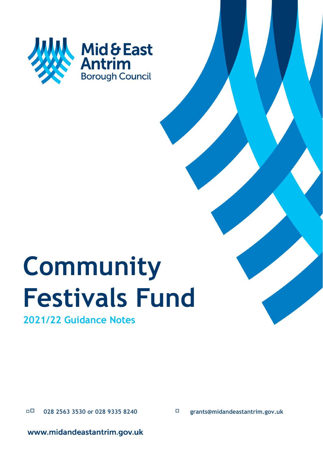

# **Community Festivals Fund**

**2021/22 Guidance Notes**

 **<sup>028</sup> 2563 3530 or 028 9335 8240 grants@midandeastantrim.gov.uk**

www.midandeastantrim.gov.uk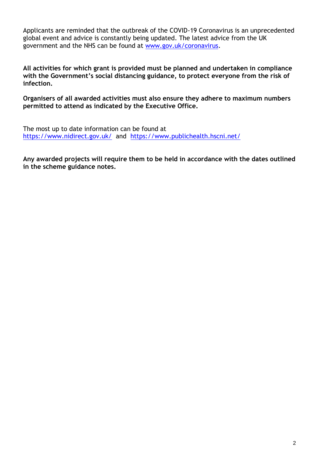Applicants are reminded that the outbreak of the COVID-19 Coronavirus is an unprecedented global event and advice is constantly being updated. The latest advice from the UK government and the NHS can be found at [www.gov.uk/coronavirus.](http://www.gov.uk/coronavirus)

**All activities for which grant is provided must be planned and undertaken in compliance with the Government's social distancing guidance, to protect everyone from the risk of infection.** 

**Organisers of all awarded activities must also ensure they adhere to maximum numbers permitted to attend as indicated by the Executive Office.**

The most up to date information can be found at [https://www.nidirect.gov.uk/](https://eur01.safelinks.protection.outlook.com/?url=https%3A%2F%2Fwww.nidirect.gov.uk%2F&data=04%7C01%7CChristine.Barnhill%40midandeastantrim.gov.uk%7C8fc5e11141574d35b0a908d90563ab1b%7C54a722d029fa45c7b8d0b56f419033cd%7C0%7C0%7C637546747890616877%7CUnknown%7CTWFpbGZsb3d8eyJWIjoiMC4wLjAwMDAiLCJQIjoiV2luMzIiLCJBTiI6Ik1haWwiLCJXVCI6Mn0%3D%7C1000&sdata=LEeuYW%2FNIrs67IeYOb%2FoT3fp67P4z4CgrhA1LQhqwuE%3D&reserved=0) and [https://www.publichealth.hscni.net/](https://eur01.safelinks.protection.outlook.com/?url=https%3A%2F%2Fwww.publichealth.hscni.net%2F&data=04%7C01%7CChristine.Barnhill%40midandeastantrim.gov.uk%7C8fc5e11141574d35b0a908d90563ab1b%7C54a722d029fa45c7b8d0b56f419033cd%7C0%7C0%7C637546747890626844%7CUnknown%7CTWFpbGZsb3d8eyJWIjoiMC4wLjAwMDAiLCJQIjoiV2luMzIiLCJBTiI6Ik1haWwiLCJXVCI6Mn0%3D%7C1000&sdata=j9pwNvmNzkEtDKudU00yqgdiQjIqXK3x4%2BIpaIh718Q%3D&reserved=0)

**Any awarded projects will require them to be held in accordance with the dates outlined in the scheme guidance notes.**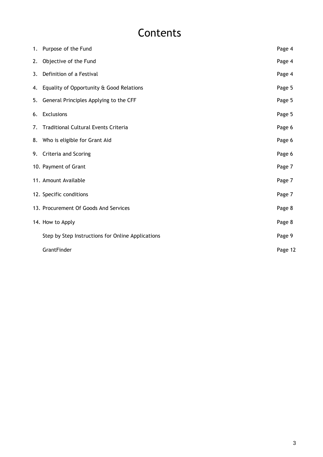## **Contents**

|    | 1. Purpose of the Fund                            | Page 4  |
|----|---------------------------------------------------|---------|
| 2. | Objective of the Fund                             | Page 4  |
| 3. | Definition of a Festival                          | Page 4  |
|    | 4. Equality of Opportunity & Good Relations       | Page 5  |
|    | 5. General Principles Applying to the CFF         | Page 5  |
|    | 6. Exclusions                                     | Page 5  |
| 7. | <b>Traditional Cultural Events Criteria</b>       | Page 6  |
|    | 8. Who is eligible for Grant Aid                  | Page 6  |
|    | 9. Criteria and Scoring                           | Page 6  |
|    | 10. Payment of Grant                              | Page 7  |
|    | 11. Amount Available                              | Page 7  |
|    | 12. Specific conditions                           | Page 7  |
|    | 13. Procurement Of Goods And Services             | Page 8  |
|    | 14. How to Apply                                  | Page 8  |
|    | Step by Step Instructions for Online Applications | Page 9  |
|    | GrantFinder                                       | Page 12 |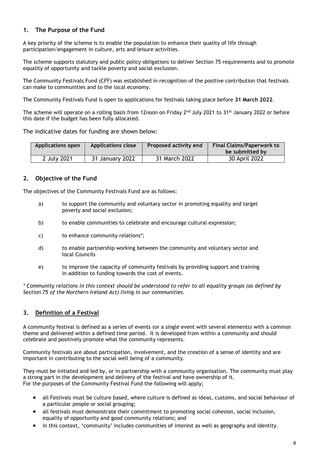#### **1. The Purpose of the Fund**

A key priority of the scheme is to enable the population to enhance their quality of life through participation/engagement in culture, arts and leisure activities.

The scheme supports statutory and public policy obligations to deliver Section 75 requirements and to promote equality of opportunity and tackle poverty and social exclusion.

The Community Festivals Fund (CFF) was established in recognition of the positive contribution that festivals can make to communities and to the local economy.

The Community Festivals Fund is open to applications for festivals taking place before **31 March 2022**.

The scheme will operate on a rolling basis from 12noon on Friday  $2^{nd}$  July 2021 to 31<sup>st</sup> January 2022 or before this date if the budget has been fully allocated.

The indicative dates for funding are shown below:

| <b>Applications close</b><br><b>Applications open</b> |                 | Proposed activity end | <b>Final Claims/Paperwork to</b> |
|-------------------------------------------------------|-----------------|-----------------------|----------------------------------|
|                                                       |                 |                       | be submitted by                  |
| 2 July 2021                                           | 31 January 2022 | 31 March 2022         | 30 April 2022                    |

#### **2. Objective of the Fund**

The objectives of the Community Festivals Fund are as follows:

- a) to support the community and voluntary sector in promoting equality and target poverty and social exclusion;
- b) to enable communities to celebrate and encourage cultural expression;
- c) to enhance community relations\*;
- d) to enable partnership working between the community and voluntary sector and local Councils
- e) to improve the capacity of community festivals by providing support and training in addition to funding towards the cost of events.

*\* Community relations in this context should be understood to refer to all equality groups (as defined by Section 75 of the Northern Ireland Act) living in our communities.* 

#### **3. Definition of a Festival**

A community festival is defined as a series of events (or a single event with several elements) with a common theme and delivered within a defined time period. It is developed from within a community and should celebrate and positively promote what the community represents.

Community festivals are about participation, involvement, and the creation of a sense of identity and are important in contributing to the social well being of a community.

They must be initiated and led by, or in partnership with a community organisation. The community must play a strong part in the development and delivery of the festival and have ownership of it. For the purposes of the Community Festival Fund the following will apply;

- all Festivals must be culture based, where culture is defined as ideas, customs, and social behaviour of a particular people or social grouping;
- all festivals must demonstrate their commitment to promoting social cohesion, social inclusion, equality of opportunity and good community relations; and
- in this context, 'community' includes communities of interest as well as geography and identity.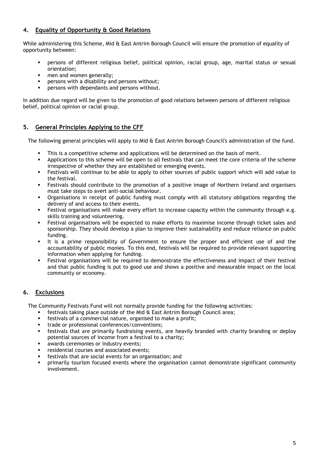#### **4. Equality of Opportunity & Good Relations**

While administering this Scheme, Mid & East Antrim Borough Council will ensure the promotion of equality of opportunity between:

- persons of different religious belief, political opinion, racial group, age, marital status or sexual orientation;
- men and women generally;
- persons with a disability and persons without;
- **PERSONS WITH DEPENDANTS AND PERSONS WITHOUT.**

In addition due regard will be given to the promotion of good relations between persons of different religious belief, political opinion or racial group.

#### **5. General Principles Applying to the CFF**

The following general principles will apply to Mid & East Antrim Borough Council's administration of the fund.

- This is a competitive scheme and applications will be determined on the basis of merit.
- Applications to this scheme will be open to all festivals that can meet the core criteria of the scheme irrespective of whether they are established or emerging events.
- Festivals will continue to be able to apply to other sources of public support which will add value to the festival.
- Festivals should contribute to the promotion of a positive image of Northern Ireland and organisers must take steps to avert anti-social behaviour.
- Organisations in receipt of public funding must comply with all statutory obligations regarding the delivery of and access to their events.
- Festival organisations will make every effort to increase capacity within the community through e.g. skills training and volunteering.
- Festival organisations will be expected to make efforts to maximise income through ticket sales and sponsorship. They should develop a plan to improve their sustainability and reduce reliance on public funding.
- It is a prime responsibility of Government to ensure the proper and efficient use of and the accountability of public monies. To this end, festivals will be required to provide relevant supporting information when applying for funding.
- Festival organisations will be required to demonstrate the effectiveness and impact of their festival and that public funding is put to good use and shows a positive and measurable impact on the local community or economy.

#### **6. Exclusions**

The Community Festivals Fund will not normally provide funding for the following activities:

- festivals taking place outside of the Mid & East Antrim Borough Council area;
- festivals of a commercial nature, organised to make a profit;
- trade or professional conferences/conventions;
- festivals that are primarily fundraising events, are heavily branded with charity branding or deploy potential sources of income from a festival to a charity;
- awards ceremonies or industry events;
- residential courses and associated events;
- festivals that are social events for an organisation; and
- primarily tourism focused events where the organisation cannot demonstrate significant community involvement.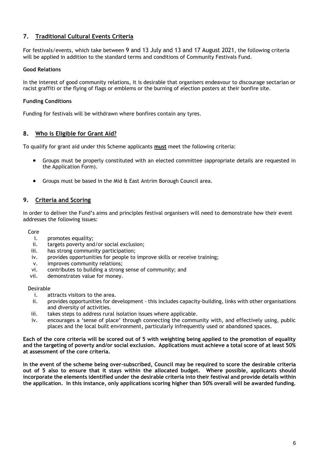#### **7. Traditional Cultural Events Criteria**

For festivals/events, which take between 9 and 13 July and 13 and 17 August 2021, the following criteria will be applied in addition to the standard terms and conditions of Community Festivals Fund.

#### **Good Relations**

In the interest of good community relations, it is desirable that organisers endeavour to discourage sectarian or racist graffiti or the flying of flags or emblems or the burning of election posters at their bonfire site.

#### **Funding Conditions**

Funding for festivals will be withdrawn where bonfires contain any tyres.

#### **8. Who is Eligible for Grant Aid?**

To qualify for grant aid under this Scheme applicants **must** meet the following criteria:

- Groups must be properly constituted with an elected committee (appropriate details are requested in the Application Form).
- Groups must be based in the Mid & East Antrim Borough Council area.

#### **9. Criteria and Scoring**

In order to deliver the Fund's aims and principles festival organisers will need to demonstrate how their event addresses the following issues:

Core

- i. promotes equality;
- ii. targets poverty and/or social exclusion;
- iii. has strong community participation;
- iv. provides opportunities for people to improve skills or receive training;
- v. improves community relations;
- vi. contributes to building a strong sense of community; and
- vii. demonstrates value for money.

#### Desirable

- i. attracts visitors to the area.
- ii. provides opportunities for development this includes capacity-building, links with other organisations and diversity of activities.
- iii. takes steps to address rural isolation issues where applicable.
- iv. encourages a 'sense of place' through connecting the community with, and effectively using, public places and the local built environment, particularly infrequently used or abandoned spaces.

**Each of the core criteria will be scored out of 5 with weighting being applied to the promotion of equality and the targeting of poverty and/or social exclusion. Applications must achieve a total score of at least 50% at assessment of the core criteria.** 

**In the event of the scheme being over-subscribed, Council may be required to score the desirable criteria out of 5 also to ensure that it stays within the allocated budget. Where possible, applicants should incorporate the elements identified under the desirable criteria into their festival and provide details within the application. In this instance, only applications scoring higher than 50% overall will be awarded funding.**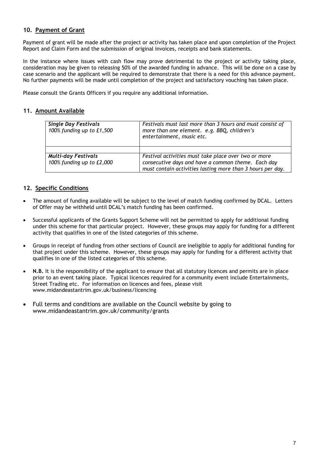#### **10. Payment of Grant**

Payment of grant will be made after the project or activity has taken place and upon completion of the Project Report and Claim Form and the submission of original invoices, receipts and bank statements.

In the instance where issues with cash flow may prove detrimental to the project or activity taking place, consideration may be given to releasing 50% of the awarded funding in advance. This will be done on a case by case scenario and the applicant will be required to demonstrate that there is a need for this advance payment. No further payments will be made until completion of the project and satisfactory vouching has taken place.

Please consult the Grants Officers if you require any additional information.

#### **11. Amount Available**

| <b>Single Day Festivals</b><br>100% funding up to £1,500 | Festivals must last more than 3 hours and must consist of<br>more than one element. e.g. BBQ, children's<br>entertainment, music etc.                                    |
|----------------------------------------------------------|--------------------------------------------------------------------------------------------------------------------------------------------------------------------------|
|                                                          |                                                                                                                                                                          |
| <b>Multi-day Festivals</b><br>100% funding up to £2,000  | Festival activities must take place over two or more<br>consecutive days and have a common theme. Each day<br>must contain activities lasting more than 3 hours per day. |

#### **12. Specific Conditions**

- The amount of funding available will be subject to the level of match funding confirmed by DCAL. Letters of Offer may be withheld until DCAL's match funding has been confirmed.
- Successful applicants of the Grants Support Scheme will not be permitted to apply for additional funding under this scheme for that particular project. However, these groups may apply for funding for a different activity that qualifies in one of the listed categories of this scheme.
- Groups in receipt of funding from other sections of Council are ineligible to apply for additional funding for that project under this scheme. However, these groups may apply for funding for a different activity that qualifies in one of the listed categories of this scheme.
- **N.B.** It is the responsibility of the applicant to ensure that all statutory licences and permits are in place prior to an event taking place. Typical licences required for a community event include Entertainments, Street Trading etc. For information on licences and fees, please visit www.midandeastantrim.gov.uk/business/licencing
- Full terms and conditions are available on the Council website by going to www.midandeastantrim.gov.uk/community/grants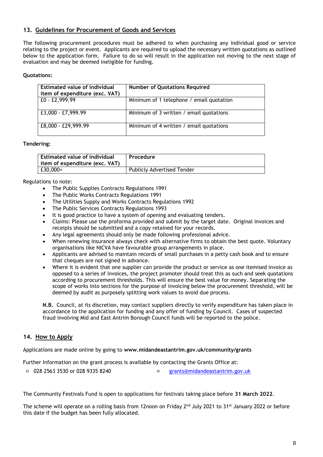#### **13. Guidelines for Procurement of Goods and Services**

The following procurement procedures must be adhered to when purchasing any individual good or service relating to the project or event. Applicants are required to upload the necessary written quotations as outlined below to the application form. Failure to do so will result in the application not moving to the next stage of evaluation and may be deemed ineligible for funding.

#### **Quotations:**

| Estimated value of individual<br>item of expenditure (exc. VAT) | <b>Number of Quotations Required</b>     |
|-----------------------------------------------------------------|------------------------------------------|
| £0 - £2,999.99                                                  | Minimum of 1 telephone / email quotation |
| $ E3,000 - E7,999.99 $                                          | Minimum of 3 written / email quotations  |
| £8,000 - £29,999.99                                             | Minimum of 4 written / email quotations  |

#### **Tendering:**

| <b>Estimated value of individual</b><br>item of expenditure (exc. VAT) | Procedure                         |
|------------------------------------------------------------------------|-----------------------------------|
| £30,000+                                                               | <b>Publicly Advertised Tender</b> |

Regulations to note:

- The Public Supplies Contracts Regulations 1991
- The Public Works Contracts Regulations 1991
- The Utilities Supply and Works Contracts Regulations 1992
- The Public Services Contracts Regulations 1993
- It is good practice to have a system of opening and evaluating tenders.
- Claims: Please use the proforma provided and submit by the target date. Original invoices and receipts should be submitted and a copy retained for your records.
- Any legal agreements should only be made following professional advice.
- When renewing insurance always check with alternative firms to obtain the best quote. Voluntary organisations like NICVA have favourable group arrangements in place.
- Applicants are advised to maintain records of small purchases in a petty cash book and to ensure that cheques are not signed in advance.
- Where it is evident that one supplier can provide the product or service as one itemised invoice as opposed to a series of invoices, the project promoter should treat this as such and seek quotations according to procurement thresholds. This will ensure the best value for money. Separating the scope of works into sections for the purpose of invoicing below the procurement threshold, will be deemed by audit as purposely splitting work values to avoid due process.

**N.B.** Council, at its discretion, may contact suppliers directly to verify expenditure has taken place in accordance to the application for funding and any offer of funding by Council. Cases of suspected fraud involving Mid and East Antrim Borough Council funds will be reported to the police.

#### **14. How to Apply**

Applications are made online by going to **www.midandeastantrim.gov.uk/community/grants**

Further Information on the grant process is available by contacting the Grants Office at:

028 2563 3530 or 028 9335 8240 [grants@midandeastantrim.gov.uk](mailto:grants@midandeastantrim.gov.uk)

The Community Festivals Fund is open to applications for festivals taking place before **31 March 2022**.

The scheme will operate on a rolling basis from 12noon on Friday 2<sup>nd</sup> July 2021 to 31<sup>st</sup> January 2022 or before this date if the budget has been fully allocated.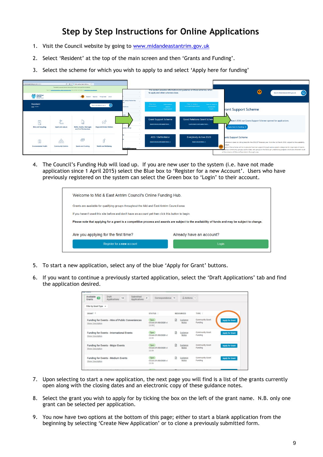### **Step by Step Instructions for Online Applications**

- 1. Visit the Council website by going to [www.midandeastantrim.gov.uk](http://www.midandeastantrim.gov.uk/)
- 2. Select 'Resident' at the top of the main screen and then 'Grants and Funding'.
- 3. Select the scheme for which you wish to apply to and select 'Apply here for funding'



4. The Council's Funding Hub will load up. If you are new user to the system (i.e. have not made application since 1 April 2015) select the Blue box to 'Register for a new Account'. Users who have previously registered on the system can select the Green box to 'Login' to their account.

|                                                                                                                                                  | Welcome to Mid & East Antrim Council's Online Funding Hub. |  |  |  |
|--------------------------------------------------------------------------------------------------------------------------------------------------|------------------------------------------------------------|--|--|--|
| Grants are available for qualifying groups throughout the Mid and East Antrim Council area.                                                      |                                                            |  |  |  |
| If you haven't used this site before and don't have an account yet then click this button to begin.                                              |                                                            |  |  |  |
| Please note that applying for a grant is a competitive process and awards are subject to the availability of funds and may be subject to change. |                                                            |  |  |  |
| Are you applying for the first time?                                                                                                             | Already have an account?                                   |  |  |  |
| Register for a new account                                                                                                                       | Login                                                      |  |  |  |
|                                                                                                                                                  |                                                            |  |  |  |

- 5. To start a new application, select any of the blue 'Apply for Grant' buttons.
- 6. If you want to continue a previously started application, select the 'Draft Applications' tab and find the application desired.

| wgn Council                                                                                                           |                                        |                               |                                   |                        |
|-----------------------------------------------------------------------------------------------------------------------|----------------------------------------|-------------------------------|-----------------------------------|------------------------|
| Available<br>Draft<br>Submitted<br>$\mathbf{m}$<br>146<br><b>Applications</b><br><b>Applications</b><br><b>Grants</b> | 21<br>Correspondence 70                | $\triangle$ Actions 1         |                                   |                        |
| Filter by Grant Type =                                                                                                |                                        |                               |                                   |                        |
| GRANT <sup>A</sup>                                                                                                    | <b>STATUS :</b>                        | <b>RESOURCES</b>              | TYPE 0                            |                        |
| Funding for Events - Hire of Public Conveniences<br><b>Show Description</b>                                           | Open)<br>Closes 31/03/2020 at<br>23:59 | 冏<br>Guidance<br>Notes        | <b>Community Grant</b><br>Funding | <b>Apply for Grant</b> |
| <b>Funding for Events - International Events</b><br><b>Show Description</b>                                           | Open)<br>Closes 31/03/2020 at<br>23:59 | n<br>Guidance<br><b>Notes</b> | <b>Community Grant</b><br>Funding | <b>Apply for Grant</b> |
| <b>Funding for Events - Major Events</b><br><b>Show Description</b>                                                   | Open)<br>Closes 31/03/2020 at<br>23:59 | n<br>Guidance<br><b>Notes</b> | <b>Community Grant</b><br>Funding | <b>Apply for Grant</b> |
| Funding for Events - Medium Events<br><b>Show Description</b>                                                         | Open)<br>Closes 31/03/2020 at<br>23:59 | n<br>Guidance<br><b>Notes</b> | <b>Community Grant</b><br>Funding | <b>Apply for Grant</b> |
|                                                                                                                       |                                        |                               |                                   |                        |

- 7. Upon selecting to start a new application, the next page you will find is a list of the grants currently open along with the closing dates and an electronic copy of these guidance notes.
- 8. Select the grant you wish to apply for by ticking the box on the left of the grant name. N.B. only one grant can be selected per application.
- 9. You now have two options at the bottom of this page; either to start a blank application from the beginning by selecting 'Create New Application' or to clone a previously submitted form.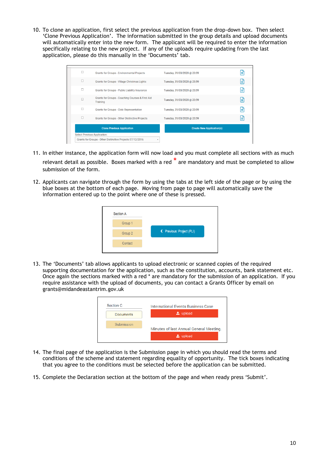10. To clone an application, first select the previous application from the drop-down box. Then select 'Clone Previous Application'. The information submitted in the group details and upload documents will automatically enter into the new form. The applicant will be required to enter the information specifically relating to the new project. If any of the uploads require updating from the last application, please do this manually in the 'Documents' tab.

|   | <b>Clone Previous Application</b><br><b>Select Previous Application:</b><br>Grants for Groups - Other Distinctive Projects 07/12/2016<br>٠ | <b>Create New Application(s)</b> |    |
|---|--------------------------------------------------------------------------------------------------------------------------------------------|----------------------------------|----|
| г | <b>Grants for Groups - Other Distinctive Projects</b>                                                                                      | Tuesday, 31/03/2020 @ 23:59      | lΞ |
| о | <b>Grants for Groups - Civic Representation</b>                                                                                            | Tuesday, 31/03/2020 @ 23:59      | E  |
| П | Grants for Groups - Coaching Courses & First Aid<br>Training                                                                               | Tuesday, 31/03/2020 @ 23:59      | lΞ |
| с | Grants for Groups - Public Liability Insurance                                                                                             | Tuesday, 31/03/2020 @ 23:59      | Е  |
| с | Grants for Groups - Village Christmas Lights                                                                                               | Tuesday, 31/03/2020 @ 23:59      | lΞ |
| г | <b>Grants for Groups - Environmental Projects</b>                                                                                          | Tuesday, 31/03/2020 @ 23:59      | lΞ |

- 11. In either instance, the application form will now load and you must complete all sections with as much relevant detail as possible. Boxes marked with a red  $\stackrel{*}{\cdot}$  are mandatory and must be completed to allow submission of the form.
- 12. Applicants can navigate through the form by using the tabs at the left side of the page or by using the blue boxes at the bottom of each page. Moving from page to page will automatically save the information entered up to the point where one of these is pressed.



13. The 'Documents' tab allows applicants to upload electronic or scanned copies of the required supporting documentation for the application, such as the constitution, accounts, bank statement etc. Once again the sections marked with a red \* are mandatory for the submission of an application. If you require assistance with the upload of documents, you can contact a Grants Officer by email on grants@midandeastantrim.gov.uk



- 14. The final page of the application is the Submission page in which you should read the terms and conditions of the scheme and statement regarding equality of opportunity. The tick boxes indicating that you agree to the conditions must be selected before the application can be submitted.
- 15. Complete the Declaration section at the bottom of the page and when ready press 'Submit'.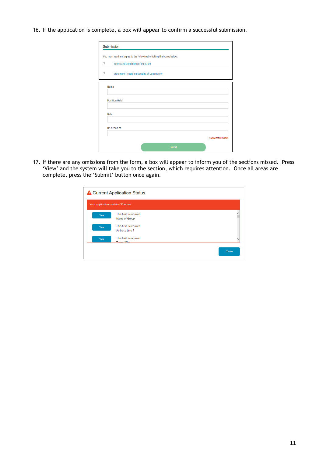#### 16. If the application is complete, a box will appear to confirm a successful submission.

|             | You must read and agree to the following by ticking the boxes below: |
|-------------|----------------------------------------------------------------------|
| $\Box$      | Terms and Conditions of the Grant                                    |
| П           | <b>Statement Regarding Equality of Opportunity</b>                   |
| Name        |                                                                      |
|             |                                                                      |
|             | <b>Position Held</b>                                                 |
|             |                                                                      |
| <b>Date</b> |                                                                      |
|             |                                                                      |
|             | On behalf of                                                         |
|             |                                                                      |
|             |                                                                      |

17. If there are any omissions from the form, a box will appear to inform you of the sections missed. Press 'View' and the system will take you to the section, which requires attention. Once all areas are complete, press the 'Submit' button once again.

| <b>A</b> Current Application Status |                                           |              |  |  |
|-------------------------------------|-------------------------------------------|--------------|--|--|
|                                     | Your application contains 30 errors:      |              |  |  |
| View                                | This field is required.<br>Name of Group  |              |  |  |
| View                                | This field is required.<br>Address Line 1 |              |  |  |
| View                                | This field is required.<br>Tours LCity    |              |  |  |
|                                     |                                           | <b>Close</b> |  |  |